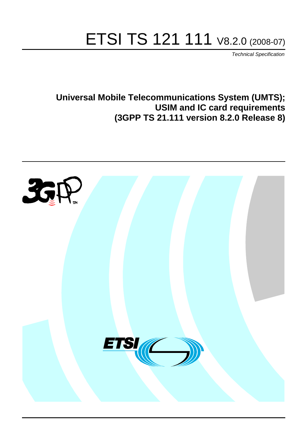# ETSI TS 121 111 V8.2.0 (2008-07)

*Technical Specification*

**Universal Mobile Telecommunications System (UMTS); USIM and IC card requirements (3GPP TS 21.111 version 8.2.0 Release 8)**

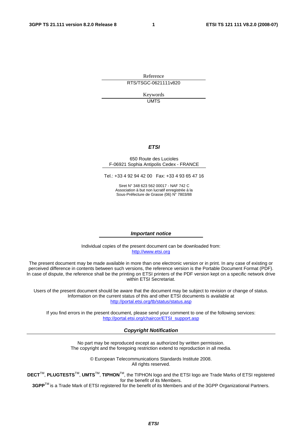Reference RTS/TSGC-0621111v820

> Keywords UMTS

#### *ETSI*

#### 650 Route des Lucioles F-06921 Sophia Antipolis Cedex - FRANCE

Tel.: +33 4 92 94 42 00 Fax: +33 4 93 65 47 16

Siret N° 348 623 562 00017 - NAF 742 C Association à but non lucratif enregistrée à la Sous-Préfecture de Grasse (06) N° 7803/88

#### *Important notice*

Individual copies of the present document can be downloaded from: [http://www.etsi.org](http://www.etsi.org/)

The present document may be made available in more than one electronic version or in print. In any case of existing or perceived difference in contents between such versions, the reference version is the Portable Document Format (PDF). In case of dispute, the reference shall be the printing on ETSI printers of the PDF version kept on a specific network drive within ETSI Secretariat.

Users of the present document should be aware that the document may be subject to revision or change of status. Information on the current status of this and other ETSI documents is available at <http://portal.etsi.org/tb/status/status.asp>

If you find errors in the present document, please send your comment to one of the following services: [http://portal.etsi.org/chaircor/ETSI\\_support.asp](http://portal.etsi.org/chaircor/ETSI_support.asp)

#### *Copyright Notification*

No part may be reproduced except as authorized by written permission. The copyright and the foregoing restriction extend to reproduction in all media.

> © European Telecommunications Standards Institute 2008. All rights reserved.

**DECT**TM, **PLUGTESTS**TM, **UMTS**TM, **TIPHON**TM, the TIPHON logo and the ETSI logo are Trade Marks of ETSI registered for the benefit of its Members.

**3GPP**TM is a Trade Mark of ETSI registered for the benefit of its Members and of the 3GPP Organizational Partners.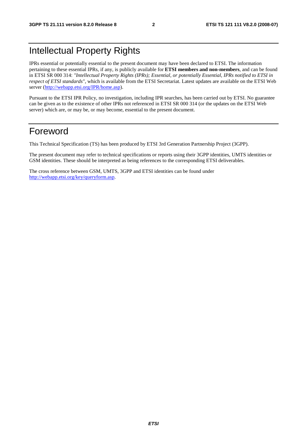# Intellectual Property Rights

IPRs essential or potentially essential to the present document may have been declared to ETSI. The information pertaining to these essential IPRs, if any, is publicly available for **ETSI members and non-members**, and can be found in ETSI SR 000 314: *"Intellectual Property Rights (IPRs); Essential, or potentially Essential, IPRs notified to ETSI in respect of ETSI standards"*, which is available from the ETSI Secretariat. Latest updates are available on the ETSI Web server (h[ttp://webapp.etsi.org/IPR/home.asp\).](http://webapp.etsi.org/IPR/home.asp)

Pursuant to the ETSI IPR Policy, no investigation, including IPR searches, has been carried out by ETSI. No guarantee can be given as to the existence of other IPRs not referenced in ETSI SR 000 314 (or the updates on the ETSI Web server) which are, or may be, or may become, essential to the present document.

# Foreword

This Technical Specification (TS) has been produced by ETSI 3rd Generation Partnership Project (3GPP).

The present document may refer to technical specifications or reports using their 3GPP identities, UMTS identities or GSM identities. These should be interpreted as being references to the corresponding ETSI deliverables.

The cross reference between GSM, UMTS, 3GPP and ETSI identities can be found under [http://webapp.etsi.org/key/queryform.asp.](http://webapp.etsi.org/key/queryform.asp)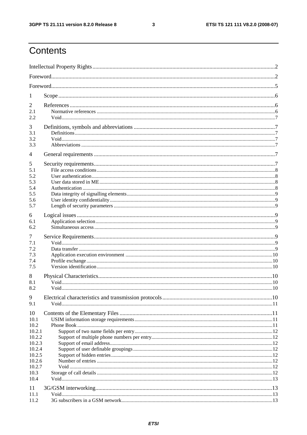$\mathbf{3}$ 

# Contents

| 1                |  |  |  |  |  |
|------------------|--|--|--|--|--|
| 2                |  |  |  |  |  |
| 2.1              |  |  |  |  |  |
| 2.2              |  |  |  |  |  |
| 3                |  |  |  |  |  |
| 3.1<br>3.2       |  |  |  |  |  |
| 3.3              |  |  |  |  |  |
| $\overline{4}$   |  |  |  |  |  |
| 5                |  |  |  |  |  |
| 5.1              |  |  |  |  |  |
| 5.2              |  |  |  |  |  |
| 5.3              |  |  |  |  |  |
| 5.4              |  |  |  |  |  |
| 5.5<br>5.6       |  |  |  |  |  |
| 5.7              |  |  |  |  |  |
|                  |  |  |  |  |  |
| 6<br>6.1         |  |  |  |  |  |
| 6.2              |  |  |  |  |  |
|                  |  |  |  |  |  |
| 7<br>7.1         |  |  |  |  |  |
| 7.2              |  |  |  |  |  |
| 7.3              |  |  |  |  |  |
| 7.4              |  |  |  |  |  |
| 7.5              |  |  |  |  |  |
| 8                |  |  |  |  |  |
| 8.1              |  |  |  |  |  |
| 8.2              |  |  |  |  |  |
| 9                |  |  |  |  |  |
| 9.1              |  |  |  |  |  |
| 10               |  |  |  |  |  |
| 10.1             |  |  |  |  |  |
| 10.2             |  |  |  |  |  |
| 10.2.1<br>10.2.2 |  |  |  |  |  |
| 10.2.3           |  |  |  |  |  |
| 10.2.4           |  |  |  |  |  |
| 10.2.5           |  |  |  |  |  |
| 10.2.6           |  |  |  |  |  |
| 10.2.7<br>10.3   |  |  |  |  |  |
| 10.4             |  |  |  |  |  |
|                  |  |  |  |  |  |
| 11<br>11.1       |  |  |  |  |  |
| 11.2             |  |  |  |  |  |
|                  |  |  |  |  |  |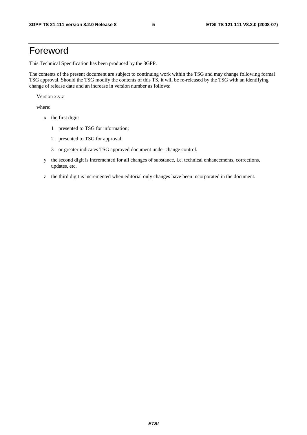# Foreword

This Technical Specification has been produced by the 3GPP.

The contents of the present document are subject to continuing work within the TSG and may change following formal TSG approval. Should the TSG modify the contents of this TS, it will be re-released by the TSG with an identifying change of release date and an increase in version number as follows:

Version x.y.z

where:

- x the first digit:
	- 1 presented to TSG for information;
	- 2 presented to TSG for approval;
	- 3 or greater indicates TSG approved document under change control.
- y the second digit is incremented for all changes of substance, i.e. technical enhancements, corrections, updates, etc.
- z the third digit is incremented when editorial only changes have been incorporated in the document.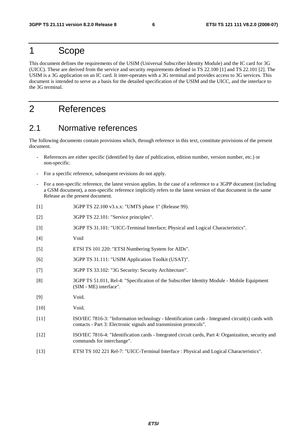# 1 Scope

This document defines the requirements of the USIM (Universal Subscriber Identity Module) and the IC card for 3G (UICC). These are derived from the service and security requirements defined in TS 22.100 [1] and TS 22.101 [2]. The USIM is a 3G application on an IC card. It inter-operates with a 3G terminal and provides access to 3G services. This document is intended to serve as a basis for the detailed specification of the USIM and the UICC, and the interface to the 3G terminal.

# 2 References

# 2.1 Normative references

The following documents contain provisions which, through reference in this text, constitute provisions of the present document.

- References are either specific (identified by date of publication, edition number, version number, etc.) or non-specific.
- For a specific reference, subsequent revisions do not apply.
- For a non-specific reference, the latest version applies. In the case of a reference to a 3GPP document (including a GSM document), a non-specific reference implicitly refers to the latest version of that document in the same Release as the present document.
- [1] 3GPP TS 22.100 v3.x.x: "UMTS phase 1" (Release 99).
- [2] 3GPP TS 22.101: "Service principles".
- [3] 3GPP TS 31.101: "UICC-Terminal Interface; Physical and Logical Characteristics".
- [4] Void
- [5] ETSI TS 101 220: "ETSI Numbering System for AIDs".
- [6] 3GPP TS 31.111: "USIM Application Toolkit (USAT)".
- [7] 3GPP TS 33.102: "3G Security: Security Architecture".
- [8] 3GPP TS 51.011, Rel-4: "Specification of the Subscriber Identity Module Mobile Equipment (SIM - ME) interface".
- [9] Void.
- [10] **Void.**
- [11] ISO/IEC 7816-3: "Information technology Identification cards Integrated circuit(s) cards with contacts - Part 3: Electronic signals and transmission protocols".
- [12] ISO/IEC 7816-4: "Identification cards Integrated circuit cards, Part 4: Organization, security and commands for interchange".
- [13] ETSI TS 102 221 Rel-7: "UICC-Terminal Interface : Physical and Logical Characteristics".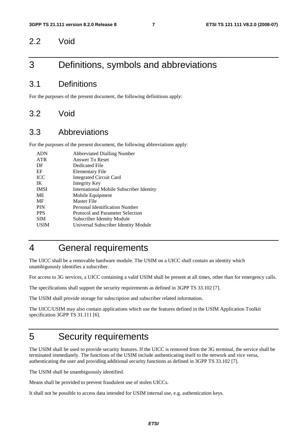### 2.2 Void

# 3 Definitions, symbols and abbreviations

### 3.1 Definitions

For the purposes of the present document, the following definitions apply:

### 3.2 Void

### 3.3 Abbreviations

For the purposes of the present document, the following abbreviations apply:

| <b>ADN</b>  | <b>Abbreviated Dialling Number</b>       |
|-------------|------------------------------------------|
| <b>ATR</b>  | Answer To Reset                          |
| DF          | Dedicated File                           |
| EF          | Elementary File                          |
| <b>ICC</b>  | <b>Integrated Circuit Card</b>           |
| IK          | Integrity Key                            |
| <b>IMSI</b> | International Mobile Subscriber Identity |
| <b>ME</b>   | Mobile Equipment                         |
| MF          | Master File                              |
| <b>PIN</b>  | Personal Identification Number           |
| <b>PPS</b>  | Protocol and Parameter Selection         |
| <b>SIM</b>  | Subscriber Identity Module               |
| USIM        | Universal Subscriber Identity Module     |
|             |                                          |

# 4 General requirements

The UICC shall be a removable hardware module. The USIM on a UICC shall contain an identity which unambiguously identifies a subscriber.

For access to 3G services, a UICC containing a valid USIM shall be present at all times, other than for emergency calls.

The specifications shall support the security requirements as defined in 3GPP TS 33.102 [7].

The USIM shall provide storage for subscription and subscriber related information.

The UICC/USIM may also contain applications which use the features defined in the USIM Application Toolkit specification 3GPP TS 31.111 [6].

# 5 Security requirements

The USIM shall be used to provide security features. If the UICC is removed from the 3G terminal, the service shall be terminated immediately. The functions of the USIM include authenticating itself to the network and vice versa, authenticating the user and providing additional security functions as defined in 3GPP TS 33.102 [7].

The USIM shall be unambiguously identified.

Means shall be provided to prevent fraudulent use of stolen UICCs.

It shall not be possible to access data intended for USIM internal use, e.g. authentication keys.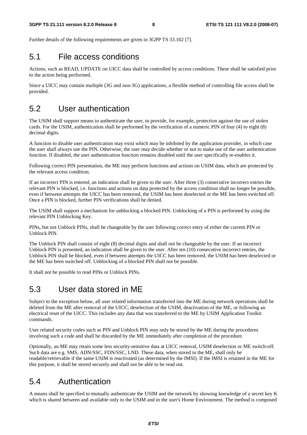Further details of the following requirements are given in 3GPP TS 33.102 [7].

### 5.1 File access conditions

Actions, such as READ, UPDATE on UICC data shall be controlled by access conditions. These shall be satisfied prior to the action being performed.

Since a UICC may contain multiple (3G and non-3G) applications, a flexible method of controlling file access shall be provided.

# 5.2 User authentication

The USIM shall support means to authenticate the user, to provide, for example, protection against the use of stolen cards. For the USIM, authentication shall be performed by the verification of a numeric PIN of four (4) to eight (8) decimal digits.

A function to disable user authentication may exist which may be inhibited by the application provider, in which case the user shall always use the PIN. Otherwise, the user may decide whether or not to make use of the user authentication function. If disabled, the user authentication function remains disabled until the user specifically re-enables it.

Following correct PIN presentation, the ME may perform functions and actions on USIM data, which are protected by the relevant access condition.

If an incorrect PIN is entered, an indication shall be given to the user. After three (3) consecutive incorrect entries the relevant PIN is blocked, i.e. functions and actions on data protected by the access condition shall no longer be possible, even if between attempts the UICC has been removed, the USIM has been deselected or the ME has been switched off. Once a PIN is blocked, further PIN verifications shall be denied.

The USIM shall support a mechanism for unblocking a blocked PIN. Unblocking of a PIN is performed by using the relevant PIN Unblocking Key.

PINs, but not Unblock PINs, shall be changeable by the user following correct entry of either the current PIN or Unblock PIN.

The Unblock PIN shall consist of eight (8) decimal digits and shall not be changeable by the user. If an incorrect Unblock PIN is presented, an indication shall be given to the user. After ten (10) consecutive incorrect entries, the Unblock PIN shall be blocked, even if between attempts the UICC has been removed, the USIM has been deselected or the ME has been switched off. Unblocking of a blocked PIN shall not be possible.

It shall not be possible to read PINs or Unblock PINs.

# 5.3 User data stored in ME

Subject to the exception below, all user related information transferred into the ME during network operations shall be deleted from the ME after removal of the UICC, deselection of the USIM, deactivation of the ME, or following an electrical reset of the UICC. This includes any data that was transferred to the ME by USIM Application Toolkit commands.

User related security codes such as PIN and Unblock PIN may only be stored by the ME during the procedures involving such a code and shall be discarded by the ME immediately after completion of the procedure.

Optionally, an ME may retain some less security-sensitive data at UICC removal, USIM deselection or ME switch-off. Such data are e.g. SMS, ADN/SSC, FDN/SSC, LND. These data, when stored in the ME, shall only be readable/retrievable if the same USIM is reactivated (as determined by the IMSI). If the IMSI is retained in the ME for this purpose, it shall be stored securely and shall not be able to be read out.

# 5.4 Authentication

A means shall be specified to mutually authenticate the USIM and the network by showing knowledge of a secret key K which is shared between and available only to the USIM and in the user's Home Environment. The method is composed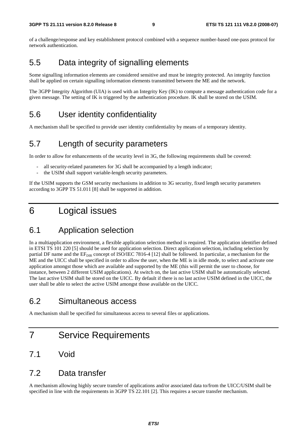of a challenge/response and key establishment protocol combined with a sequence number-based one-pass protocol for network authentication.

# 5.5 Data integrity of signalling elements

Some signalling information elements are considered sensitive and must be integrity protected. An integrity function shall be applied on certain signalling information elements transmitted between the ME and the network.

The 3GPP Integrity Algorithm (UIA) is used with an Integrity Key (IK) to compute a message authentication code for a given message. The setting of IK is triggered by the authentication procedure. IK shall be stored on the USIM.

# 5.6 User identity confidentiality

A mechanism shall be specified to provide user identity confidentiality by means of a temporary identity.

# 5.7 Length of security parameters

In order to allow for enhancements of the security level in 3G, the following requirements shall be covered:

- all security-related parameters for 3G shall be accompanied by a length indicator;
- the USIM shall support variable-length security parameters.

If the USIM supports the GSM security mechanisms in addition to 3G security, fixed length security parameters according to 3GPP TS 51.011 [8] shall be supported in addition.

# 6 Logical issues

# 6.1 Application selection

In a multiapplication environment, a flexible application selection method is required. The application identifier defined in ETSI TS 101 220 [5] should be used for application selection. Direct application selection, including selection by partial DF name and the  $EF_{DR}$  concept of ISO/IEC 7816-4 [12] shall be followed. In particular, a mechanism for the ME and the UICC shall be specified in order to allow the user, when the ME is in idle mode, to select and activate one application amongst those which are available and supported by the ME (this will permit the user to choose, for instance, between 2 different USIM applications). At switch on, the last active USIM shall be automatically selected. The last active USIM shall be stored on the UICC. By default if there is no last active USIM defined in the UICC, the user shall be able to select the active USIM amongst those available on the UICC.

# 6.2 Simultaneous access

A mechanism shall be specified for simultaneous access to several files or applications.

# 7 Service Requirements

# 7.1 Void

### 7.2 Data transfer

A mechanism allowing highly secure transfer of applications and/or associated data to/from the UICC/USIM shall be specified in line with the requirements in 3GPP TS 22.101 [2]. This requires a secure transfer mechanism.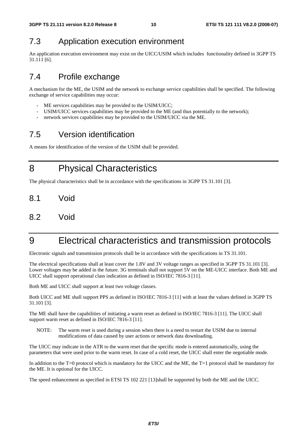# 7.3 Application execution environment

An application execution environment may exist on the UICC/USIM which includes functionality defined in 3GPP TS 31.111 [6].

# 7.4 Profile exchange

A mechanism for the ME, the USIM and the network to exchange service capabilities shall be specified. The following exchange of service capabilities may occur:

- ME services capabilities may be provided to the USIM/UICC;
- USIM/UICC services capabilities may be provided to the ME (and thus potentially to the network);
- network services capabilities may be provided to the USIM/UICC via the ME.

# 7.5 Version identification

A means for identification of the version of the USIM shall be provided.

8 Physical Characteristics

The physical characteristics shall be in accordance with the specifications in 3GPP TS 31.101 [3].

- 8.1 Void
- 8.2 Void

# 9 Electrical characteristics and transmission protocols

Electronic signals and transmission protocols shall be in accordance with the specifications in TS 31.101.

The electrical specifications shall at least cover the 1.8V and 3V voltage ranges as specified in 3GPP TS 31.101 [3]. Lower voltages may be added in the future. 3G terminals shall not support 5V on the ME-UICC interface. Both ME and UICC shall support operational class indication as defined in ISO/IEC 7816-3 [11].

Both ME and UICC shall support at least two voltage classes.

Both UICC and ME shall support PPS as defined in ISO/IEC 7816-3 [11] with at least the values defined in 3GPP TS 31.101 [3].

The ME shall have the capabilities of initiating a warm reset as defined in ISO/IEC 7816-3 [11]. The UICC shall support warm reset as defined in ISO/IEC 7816-3 [11].

NOTE: The warm reset is used during a session when there is a need to restart the USIM due to internal modifications of data caused by user actions or network data downloading.

The UICC may indicate in the ATR to the warm reset that the specific mode is entered automatically, using the parameters that were used prior to the warm reset. In case of a cold reset, the UICC shall enter the negotiable mode.

In addition to the T=0 protocol which is mandatory for the UICC and the ME, the T=1 protocol shall be mandatory for the ME. It is optional for the UICC.

The speed enhancement as specified in ETSI TS 102 221 [13]shall be supported by both the ME and the UICC.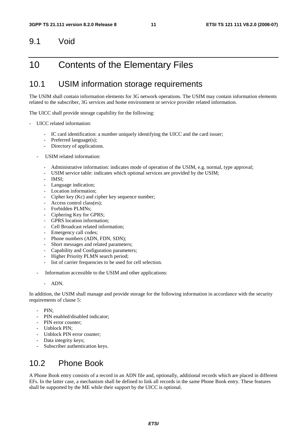# 9.1 Void

# 10 Contents of the Elementary Files

# 10.1 USIM information storage requirements

The USIM shall contain information elements for 3G network operations. The USIM may contain information elements related to the subscriber, 3G services and home environment or service provider related information.

The UICC shall provide storage capability for the following:

- UICC related information:
	- IC card identification: a number uniquely identifying the UICC and the card issuer;
	- Preferred language(s);
	- Directory of applications.
	- USIM related information:
		- Administrative information: indicates mode of operation of the USIM, e.g. normal, type approval;
		- USIM service table: indicates which optional services are provided by the USIM;
		- IMSI:
		- Language indication;
		- Location information:
		- Cipher key (Kc) and cipher key sequence number;
		- Access control class(es);
		- Forbidden PLMNs;
		- Ciphering Key for GPRS;
		- GPRS location information:
		- Cell Broadcast related information:
		- Emergency call codes;
		- Phone numbers (ADN, FDN, SDN);
		- Short messages and related parameters;
		- Capability and Configuration parameters;
		- Higher Priority PLMN search period;
		- list of carrier frequencies to be used for cell selection.
	- Information accessible to the USIM and other applications:
		- ADN.

In addition, the USIM shall manage and provide storage for the following information in accordance with the security requirements of clause 5:

- PIN:
- PIN enabled/disabled indicator;
- PIN error counter:
- Unblock PIN;
- Unblock PIN error counter;
- Data integrity keys;
- Subscriber authentication keys.

# 10.2 Phone Book

A Phone Book entry consists of a record in an ADN file and, optionally, additional records which are placed in different EFs. In the latter case, a mechanism shall be defined to link all records in the same Phone Book entry. These features shall be supported by the ME while their support by the UICC is optional.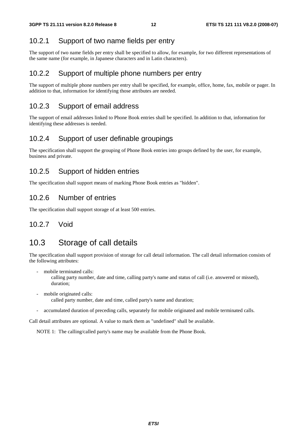### 10.2.1 Support of two name fields per entry

The support of two name fields per entry shall be specified to allow, for example, for two different representations of the same name (for example, in Japanese characters and in Latin characters).

#### 10.2.2 Support of multiple phone numbers per entry

The support of multiple phone numbers per entry shall be specified, for example, office, home, fax, mobile or pager. In addition to that, information for identifying those attributes are needed.

#### 10.2.3 Support of email address

The support of email addresses linked to Phone Book entries shall be specified. In addition to that, information for identifying these addresses is needed.

### 10.2.4 Support of user definable groupings

The specification shall support the grouping of Phone Book entries into groups defined by the user, for example, business and private.

### 10.2.5 Support of hidden entries

The specification shall support means of marking Phone Book entries as "hidden".

#### 10.2.6 Number of entries

The specification shall support storage of at least 500 entries.

#### 10.2.7 Void

# 10.3 Storage of call details

The specification shall support provision of storage for call detail information. The call detail information consists of the following attributes:

mobile terminated calls:

 calling party number, date and time, calling party's name and status of call (i.e. answered or missed), duration;

- mobile originated calls: called party number, date and time, called party's name and duration;
- accumulated duration of preceding calls, separately for mobile originated and mobile terminated calls.

Call detail attributes are optional. A value to mark them as "undefined" shall be available.

NOTE 1: The calling/called party's name may be available from the Phone Book.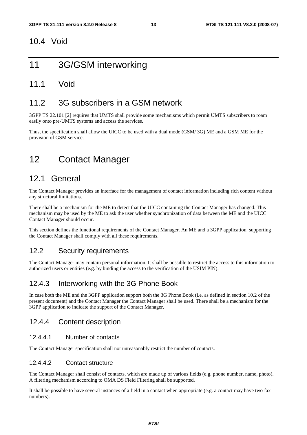### 10.4 Void

# 11 3G/GSM interworking

### 11.1 Void

# 11.2 3G subscribers in a GSM network

3GPP TS 22.101 [2] requires that UMTS shall provide some mechanisms which permit UMTS subscribers to roam easily onto pre-UMTS systems and access the services.

Thus, the specification shall allow the UICC to be used with a dual mode (GSM/ 3G) ME and a GSM ME for the provision of GSM service.

# 12 Contact Manager

# 12.1 General

The Contact Manager provides an interface for the management of contact information including rich content without any structural limitations.

There shall be a mechanism for the ME to detect that the UICC containing the Contact Manager has changed. This mechanism may be used by the ME to ask the user whether synchronization of data between the ME and the UICC Contact Manager should occur.

This section defines the functional requirements of the Contact Manager. An ME and a 3GPP application supporting the Contact Manager shall comply with all these requirements.

#### 12.2 Security requirements

The Contact Manager may contain personal information. It shall be possible to restrict the access to this information to authorized users or entities (e.g. by binding the access to the verification of the USIM PIN).

#### 12.4.3 Interworking with the 3G Phone Book

In case both the ME and the 3GPP application support both the 3G Phone Book (i.e. as defined in section 10.2 of the present document) and the Contact Manager the Contact Manager shall be used. There shall be a mechanism for the 3GPP application to indicate the support of the Contact Manager.

#### 12.4.4 Content description

#### 12.4.4.1 Number of contacts

The Contact Manager specification shall not unreasonably restrict the number of contacts.

#### 12.4.4.2 Contact structure

The Contact Manager shall consist of contacts, which are made up of various fields (e.g. phone number, name, photo). A filtering mechanism according to OMA DS Field Filtering shall be supported.

It shall be possible to have several instances of a field in a contact when appropriate (e.g. a contact may have two fax numbers).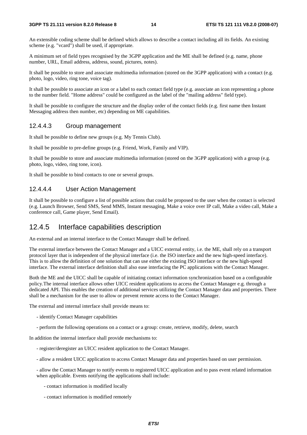#### **3GPP TS 21.111 version 8.2.0 Release 8 14 ETSI TS 121 111 V8.2.0 (2008-07)**

An extensible coding scheme shall be defined which allows to describe a contact including all its fields. An existing scheme (e.g. "vcard") shall be used, if appropriate.

A minimum set of field types recognised by the 3GPP application and the ME shall be defined (e.g. name, phone number, URL, Email address, address, sound, pictures, notes).

It shall be possible to store and associate multimedia information (stored on the 3GPP application) with a contact (e.g. photo, logo, video, ring tone, voice tag).

It shall be possible to associate an icon or a label to each contact field type (e.g. associate an icon representing a phone to the number field. "Home address" could be configured as the label of the "mailing address" field type).

It shall be possible to configure the structure and the display order of the contact fields (e.g. first name then Instant Messaging address then number, etc) depending on ME capabilities.

#### 12.4.4.3 Group management

It shall be possible to define new groups (e.g. My Tennis Club).

It shall be possible to pre-define groups (e.g. Friend, Work, Family and VIP).

It shall be possible to store and associate multimedia information (stored on the 3GPP application) with a group (e.g. photo, logo, video, ring tone, icon).

It shall be possible to bind contacts to one or several groups.

#### 12.4.4.4 User Action Management

It shall be possible to configure a list of possible actions that could be proposed to the user when the contact is selected (e.g. Launch Browser, Send SMS, Send MMS, Instant messaging, Make a voice over IP call, Make a video call, Make a conference call, Game player, Send Email).

#### 12.4.5 Interface capabilities description

An external and an internal interface to the Contact Manager shall be defined.

The external interface between the Contact Manager and a UICC external entity, i.e. the ME, shall rely on a transport protocol layer that is independent of the physical interface (i.e. the ISO interface and the new high-speed interface). This is to allow the definition of one solution that can use either the existing ISO interface or the new high-speed interface. The external interface definition shall also ease interfacing the PC applications with the Contact Manager.

Both the ME and the UICC shall be capable of initiating contact information synchronization based on a configurable policy.The internal interface allows other UICC resident applications to access the Contact Manager e.g. through a dedicated API. This enables the creation of additional services utilizing the Contact Manager data and properties. There shall be a mechanism for the user to allow or prevent remote access to the Contact Manager.

The external and internal interface shall provide means to:

- identify Contact Manager capabilities
- perform the following operations on a contact or a group: create, retrieve, modify, delete, search

In addition the internal interface shall provide mechanisms to:

- register/deregister an UICC resident application to the Contact Manager.
- allow a resident UICC application to access Contact Manager data and properties based on user permission.

- allow the Contact Manager to notify events to registered UICC application and to pass event related information when applicable. Events notifying the applications shall include:

- contact information is modified locally
- contact information is modified remotely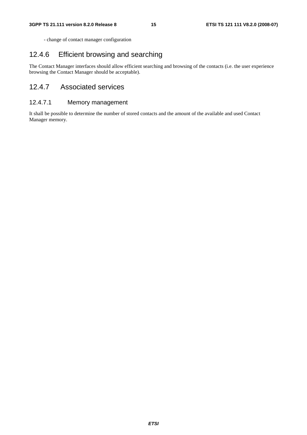- change of contact manager configuration

### 12.4.6 Efficient browsing and searching

The Contact Manager interfaces should allow efficient searching and browsing of the contacts (i.e. the user experience browsing the Contact Manager should be acceptable).

### 12.4.7 Associated services

#### 12.4.7.1 Memory management

It shall be possible to determine the number of stored contacts and the amount of the available and used Contact Manager memory.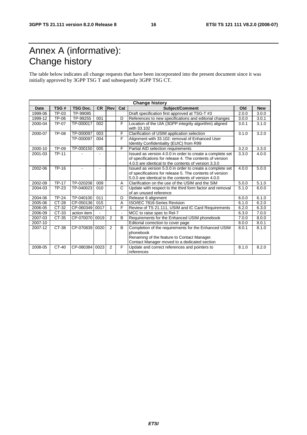# Annex A (informative): Change history

The table below indicates all change requests that have been incorporated into the present document since it was initially approved by 3GPP TSG T and subsequently 3GPP TSG CT.

| <b>Change history</b> |              |                 |           |            |     |                                                                                                                                                                               |       |            |
|-----------------------|--------------|-----------------|-----------|------------|-----|-------------------------------------------------------------------------------------------------------------------------------------------------------------------------------|-------|------------|
| <b>Date</b>           | TSG#         | <b>TSG Doc.</b> | <b>CR</b> | <b>Rev</b> | Cat | Subject/Comment                                                                                                                                                               | Old   | <b>New</b> |
| 1999-06               | TP-03        | TP-99085        |           |            |     | Draft specification first approved at TSG-T #3                                                                                                                                | 2.0.0 | 3.0.0      |
| 1999-12               | TP-06        | TP-99255        | 001       |            | D   | References to new specifications and editorial changes                                                                                                                        | 3.0.0 | 3.0.1      |
| 2000-04               | TP-07        | TP-000017       | 002       |            | F   | Location of the UIA (3GPP integrity algorithm) aligned<br>with 33.102                                                                                                         | 3.0.1 | 3.1.0      |
| 2000-07               | TP-08        | TP-000097       | 003       |            | F   | Clarification of USIM application selection                                                                                                                                   | 3.1.0 | 3.2.0      |
|                       |              | TP-000097       | 004       |            | F   | Alignment with 33.102: removal of Enhanced User<br>Identity Confidentiality (EUIC) from R99                                                                                   |       |            |
| 2000-10               | <b>TP-09</b> | TP-000150       | 005       |            | F   | Partial AID selection requirements                                                                                                                                            | 3.2.0 | 3.3.0      |
| 2001-03               | <b>TP-11</b> |                 |           |            |     | Issued as version 4.0.0 in order to create a complete set<br>of specifications for release 4. The contents of version<br>4.0.0 are identical to the contents of version 3.3.0 | 3.3.0 | 4.0.0      |
| 2002-06               | TP-16        |                 |           |            |     | Issued as version 5.0.0 in order to create a complete set<br>of specifications for release 5. The contents of version<br>5.0.0 are identical to the contents of version 4.0.0 | 4.0.0 | 5.0.0      |
| 2002-09               | <b>TP-17</b> | TP-020208       | 009       |            | A   | Clarification on the use of the USIM and the SIM                                                                                                                              | 5.0.0 | 5.1.0      |
| 2004-03               | <b>TP-23</b> | TP-040023       | 010       |            | C   | Update with respect to the third form factor and removal<br>of an unused reference                                                                                            | 5.1.0 | 6.0.0      |
| 2004-06               | <b>TP-24</b> | TP-040100       | 011       |            | D   | Release 6 alignment                                                                                                                                                           | 6.0.0 | 6.1.0      |
| 2005-06               | $CT-28$      | CP-050136       | 015       |            | A   | ISO/IEC 7816-Series Revision                                                                                                                                                  | 6.1.0 | 6.2.0      |
| 2006-05               | CT-32        | CP-060349       | 0017      | 1          | F   | Review of TS 21.111, USIM and IC Card Requirements                                                                                                                            | 6.2.0 | 6.3.0      |
| 2006-09               | CT-33        | action item     |           |            |     | MCC to raise spec to Rel-7                                                                                                                                                    | 6.3.0 | 7.0.0      |
| 2007-03               | CT-35        | CP-070070 0019  |           | 2          | B   | Requirements for the Enhanced USIM phonebook                                                                                                                                  | 7.0.0 | 8.0.0      |
| 2007-10               |              |                 |           |            |     | Editorial correction to cover page                                                                                                                                            | 8.0.0 | 8.0.1      |
| 2007-12               | CT-38        | CP-070839       | 0020      | 2          | B   | Completion of the requirements for the Enhanced USIM<br>phonebook<br>Renaming of the feature to Contact Manager.<br>Contact Manager moved to a dedicated section              | 8.0.1 | 8.1.0      |
| 2008-05               | $CT-40$      | CP-080384       | 0023      | 2          | F   | Update and correct references and pointers to<br>references                                                                                                                   | 8.1.0 | 8.2.0      |